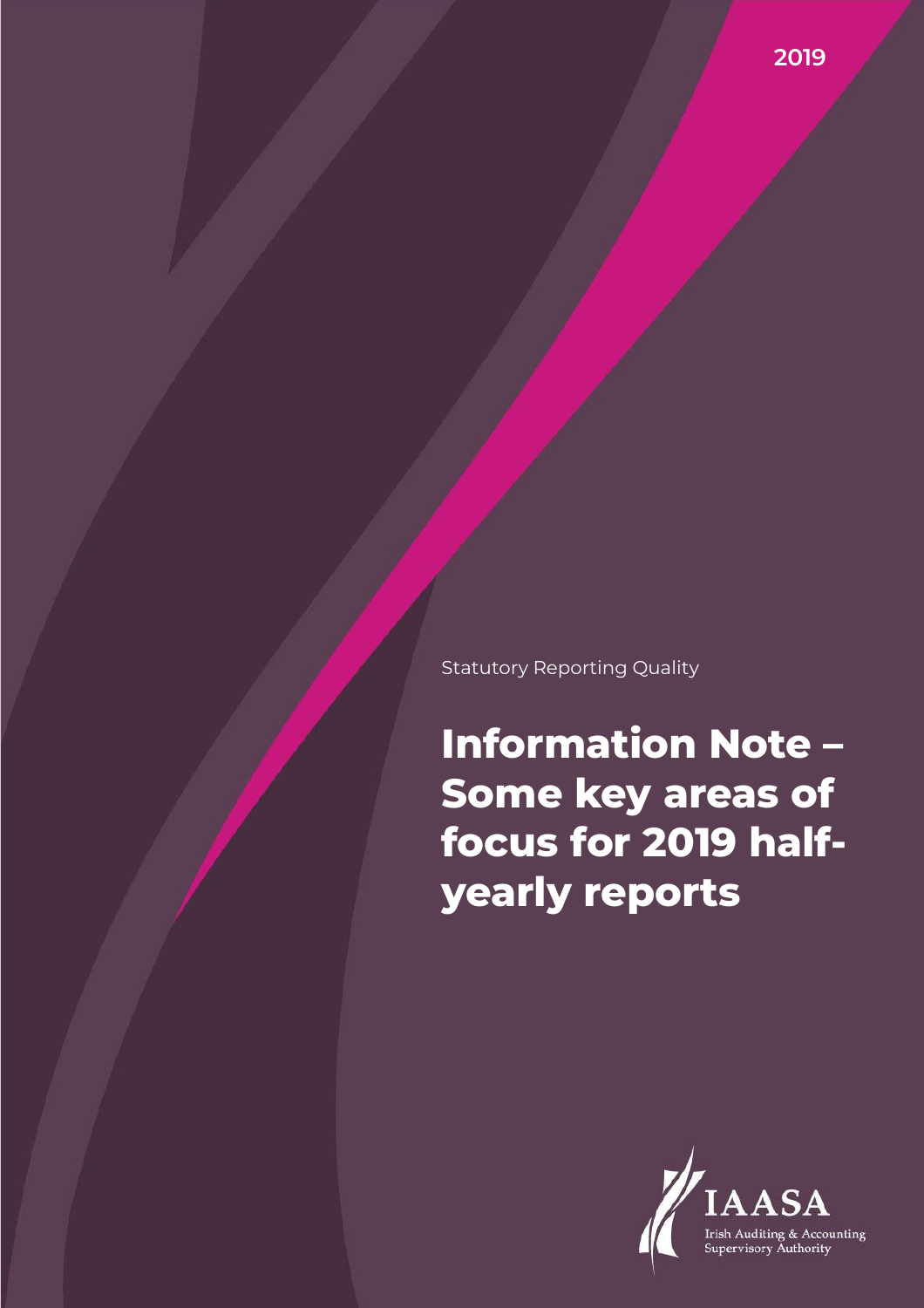Statutory Reporting Quality

**Information Note – Some key areas of focus for 2019 halfyearly reports**

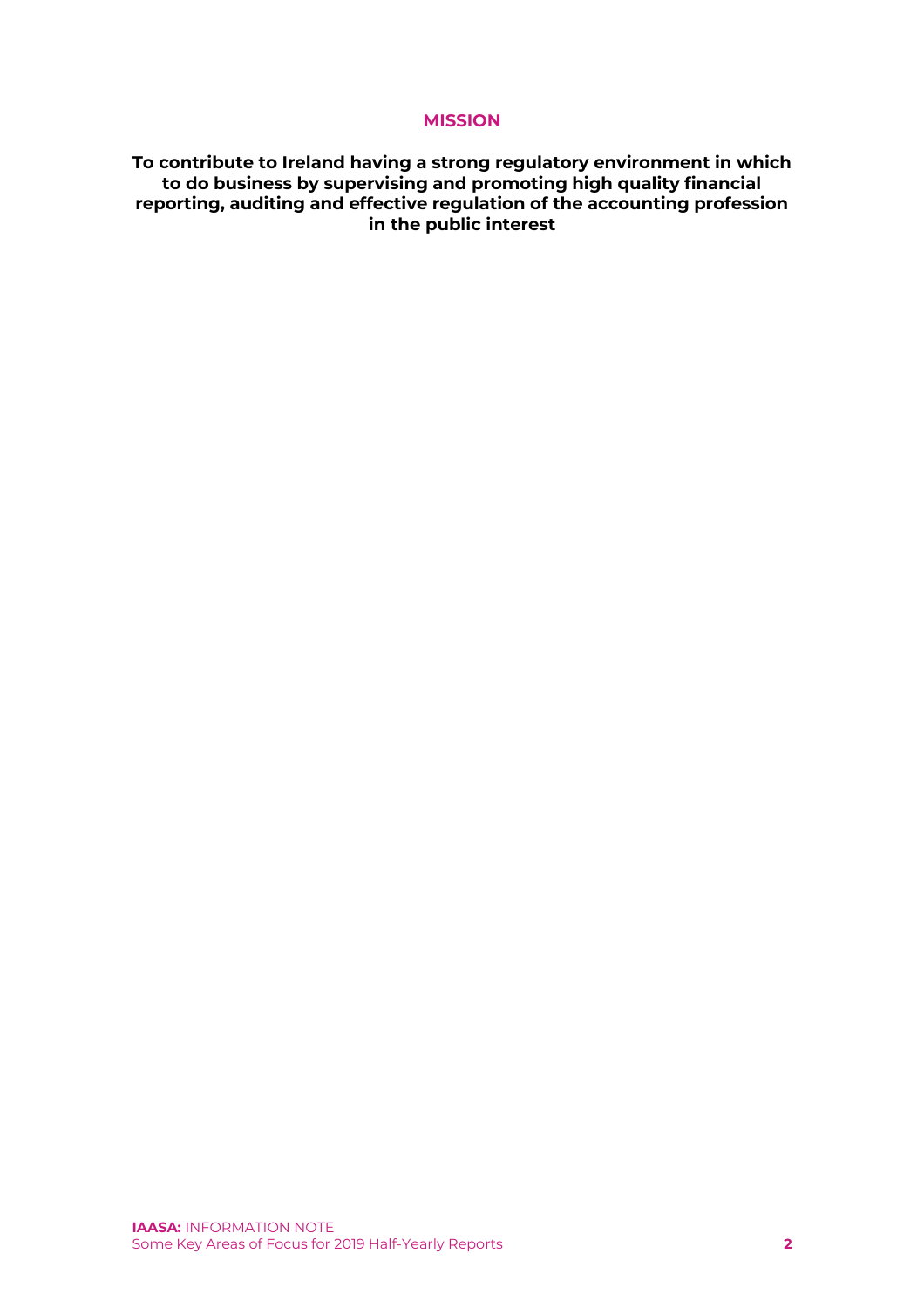# **MISSION**

**To contribute to Ireland having a strong regulatory environment in which to do business by supervising and promoting high quality financial reporting, auditing and effective regulation of the accounting profession in the public interest**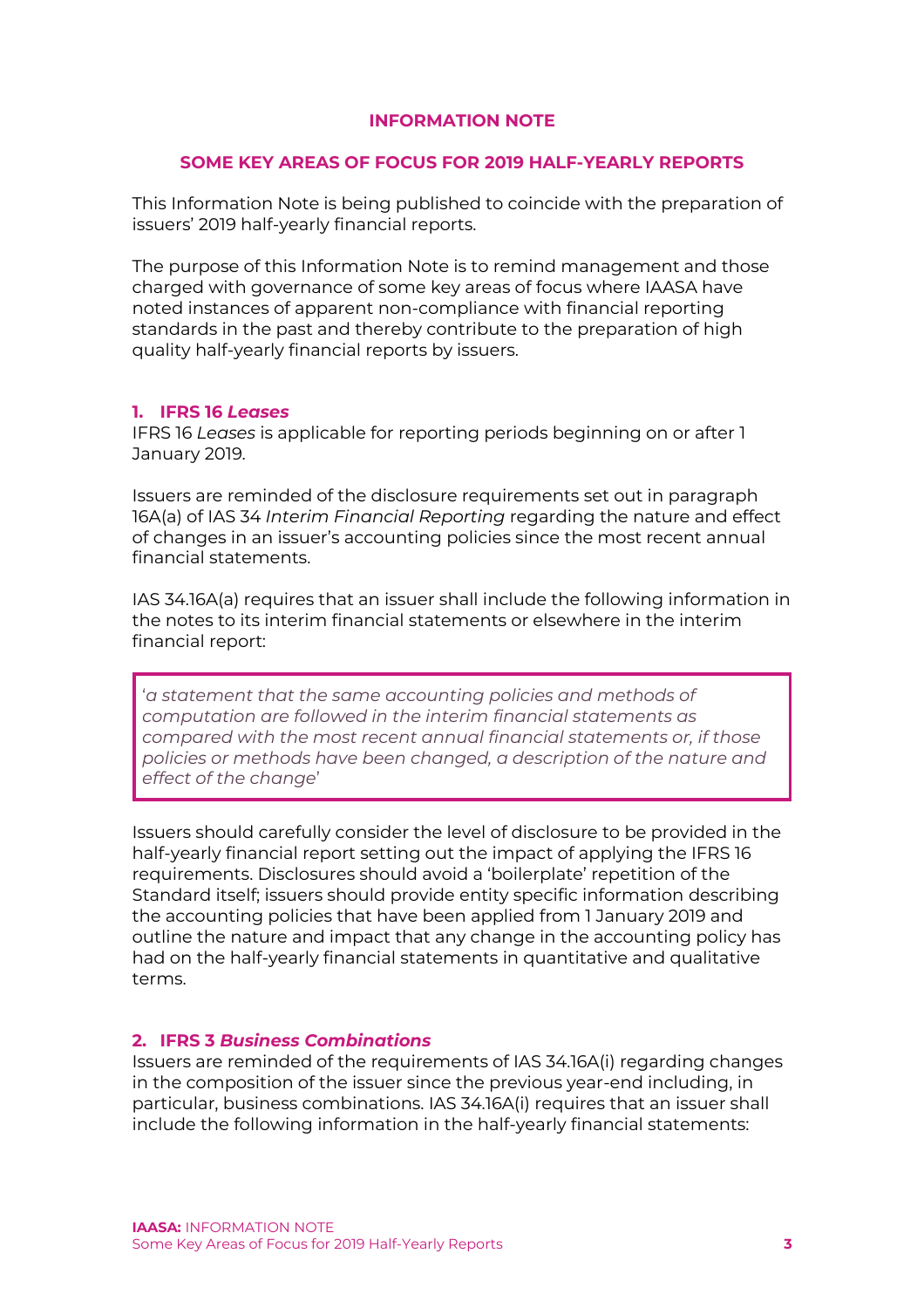# **INFORMATION NOTE**

## **SOME KEY AREAS OF FOCUS FOR 2019 HALF-YEARLY REPORTS**

This Information Note is being published to coincide with the preparation of issuers' 2019 half-yearly financial reports.

The purpose of this Information Note is to remind management and those charged with governance of some key areas of focus where IAASA have noted instances of apparent non-compliance with financial reporting standards in the past and thereby contribute to the preparation of high quality half-yearly financial reports by issuers.

#### **1. IFRS 16** *Leases*

IFRS 16 *Leases* is applicable for reporting periods beginning on or after 1 January 2019.

Issuers are reminded of the disclosure requirements set out in paragraph 16A(a) of IAS 34 *Interim Financial Reporting* regarding the nature and effect of changes in an issuer's accounting policies since the most recent annual financial statements.

IAS 34.16A(a) requires that an issuer shall include the following information in the notes to its interim financial statements or elsewhere in the interim financial report:

'*a statement that the same accounting policies and methods of computation are followed in the interim financial statements as compared with the most recent annual financial statements or, if those policies or methods have been changed, a description of the nature and effect of the change*'

Issuers should carefully consider the level of disclosure to be provided in the half-yearly financial report setting out the impact of applying the IFRS 16 requirements. Disclosures should avoid a 'boilerplate' repetition of the Standard itself; issuers should provide entity specific information describing the accounting policies that have been applied from 1 January 2019 and outline the nature and impact that any change in the accounting policy has had on the half-yearly financial statements in quantitative and qualitative terms.

## **2. IFRS 3** *Business Combinations*

Issuers are reminded of the requirements of IAS 34.16A(i) regarding changes in the composition of the issuer since the previous year-end including, in particular, business combinations. IAS 34.16A(i) requires that an issuer shall include the following information in the half-yearly financial statements: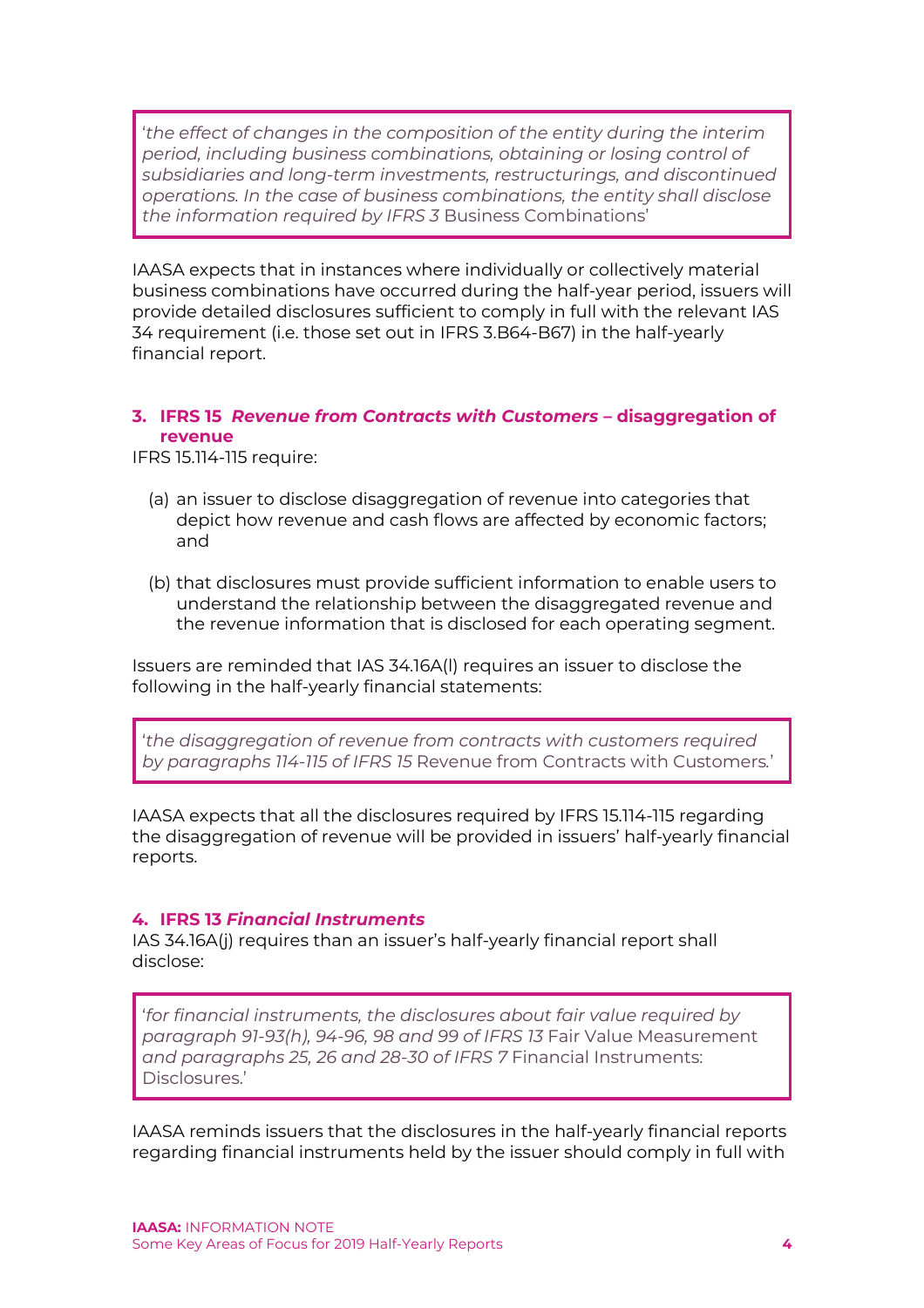'*the effect of changes in the composition of the entity during the interim period, including business combinations, obtaining or losing control of subsidiaries and long-term investments, restructurings, and discontinued operations. In the case of business combinations, the entity shall disclose the information required by IFRS 3* Business Combinations'

IAASA expects that in instances where individually or collectively material business combinations have occurred during the half-year period, issuers will provide detailed disclosures sufficient to comply in full with the relevant IAS 34 requirement (i.e. those set out in IFRS 3.B64-B67) in the half-yearly financial report.

## **3. IFRS 15** *Revenue from Contracts with Customers* **– disaggregation of revenue**

IFRS 15.114-115 require:

- (a) an issuer to disclose disaggregation of revenue into categories that depict how revenue and cash flows are affected by economic factors; and
- (b) that disclosures must provide sufficient information to enable users to understand the relationship between the disaggregated revenue and the revenue information that is disclosed for each operating segment.

Issuers are reminded that IAS 34.16A(l) requires an issuer to disclose the following in the half-yearly financial statements:

'*the disaggregation of revenue from contracts with customers required by paragraphs 114-115 of IFRS 15* Revenue from Contracts with Customers*.*'

IAASA expects that all the disclosures required by IFRS 15.114-115 regarding the disaggregation of revenue will be provided in issuers' half-yearly financial reports.

## **4. IFRS 13** *Financial Instruments*

IAS 34.16A(j) requires than an issuer's half-yearly financial report shall disclose:

'*for financial instruments, the disclosures about fair value required by paragraph 91-93(h), 94-96, 98 and 99 of IFRS 13* Fair Value Measurement *and paragraphs 25, 26 and 28-30 of IFRS 7* Financial Instruments: Disclosures.'

IAASA reminds issuers that the disclosures in the half-yearly financial reports regarding financial instruments held by the issuer should comply in full with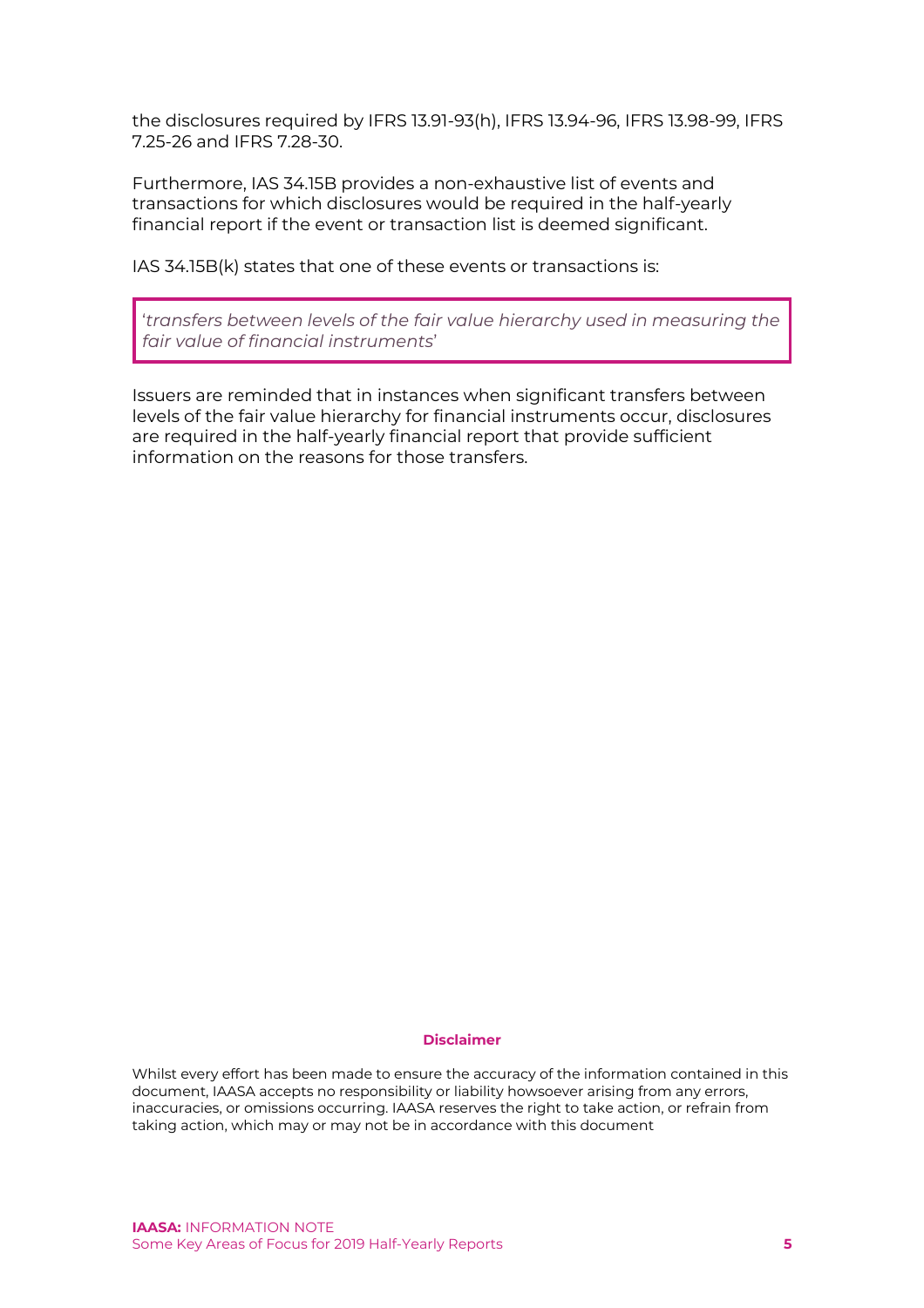the disclosures required by IFRS 13.91-93(h), IFRS 13.94-96, IFRS 13.98-99, IFRS 7.25-26 and IFRS 7.28-30.

Furthermore, IAS 34.15B provides a non-exhaustive list of events and transactions for which disclosures would be required in the half-yearly financial report if the event or transaction list is deemed significant.

IAS 34.15B(k) states that one of these events or transactions is:

'*transfers between levels of the fair value hierarchy used in measuring the fair value of financial instruments*'

Issuers are reminded that in instances when significant transfers between levels of the fair value hierarchy for financial instruments occur, disclosures are required in the half-yearly financial report that provide sufficient information on the reasons for those transfers.

#### **Disclaimer**

Whilst every effort has been made to ensure the accuracy of the information contained in this document, IAASA accepts no responsibility or liability howsoever arising from any errors, inaccuracies, or omissions occurring. IAASA reserves the right to take action, or refrain from taking action, which may or may not be in accordance with this document